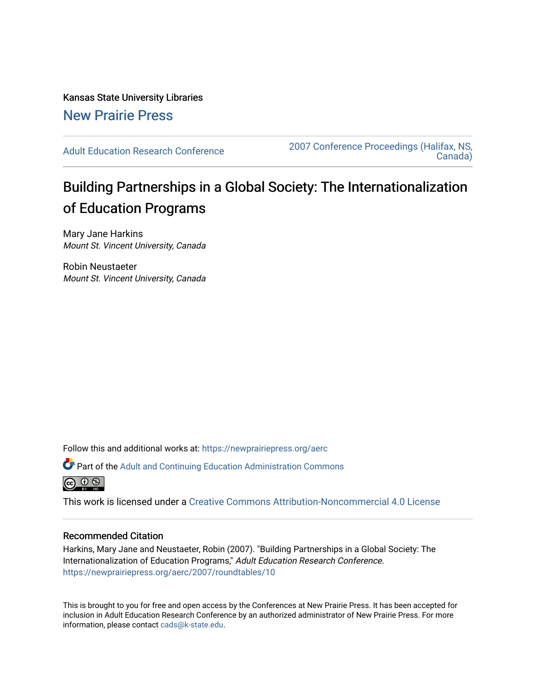Kansas State University Libraries [New Prairie Press](https://newprairiepress.org/) 

[Adult Education Research Conference](https://newprairiepress.org/aerc) [2007 Conference Proceedings \(Halifax, NS,](https://newprairiepress.org/aerc/2007)  [Canada\)](https://newprairiepress.org/aerc/2007) 

# Building Partnerships in a Global Society: The Internationalization of Education Programs

Mary Jane Harkins Mount St. Vincent University, Canada

Robin Neustaeter Mount St. Vincent University, Canada

Follow this and additional works at: [https://newprairiepress.org/aerc](https://newprairiepress.org/aerc?utm_source=newprairiepress.org%2Faerc%2F2007%2Froundtables%2F10&utm_medium=PDF&utm_campaign=PDFCoverPages)

Part of the [Adult and Continuing Education Administration Commons](http://network.bepress.com/hgg/discipline/789?utm_source=newprairiepress.org%2Faerc%2F2007%2Froundtables%2F10&utm_medium=PDF&utm_campaign=PDFCoverPages)



This work is licensed under a [Creative Commons Attribution-Noncommercial 4.0 License](https://creativecommons.org/licenses/by-nc/4.0/)

# Recommended Citation

Harkins, Mary Jane and Neustaeter, Robin (2007). "Building Partnerships in a Global Society: The Internationalization of Education Programs," Adult Education Research Conference. <https://newprairiepress.org/aerc/2007/roundtables/10>

This is brought to you for free and open access by the Conferences at New Prairie Press. It has been accepted for inclusion in Adult Education Research Conference by an authorized administrator of New Prairie Press. For more information, please contact [cads@k-state.edu](mailto:cads@k-state.edu).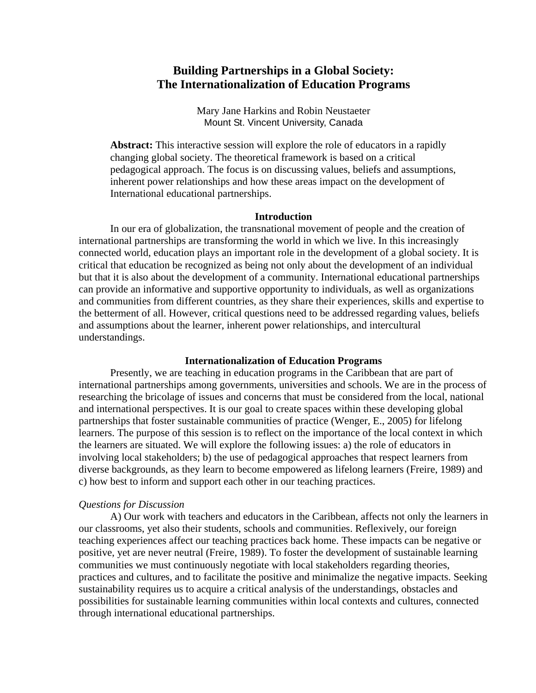# **Building Partnerships in a Global Society: The Internationalization of Education Programs**

Mary Jane Harkins and Robin Neustaeter Mount St. Vincent University, Canada

**Abstract:** This interactive session will explore the role of educators in a rapidly changing global society. The theoretical framework is based on a critical pedagogical approach. The focus is on discussing values, beliefs and assumptions, inherent power relationships and how these areas impact on the development of International educational partnerships.

#### **Introduction**

In our era of globalization, the transnational movement of people and the creation of international partnerships are transforming the world in which we live. In this increasingly connected world, education plays an important role in the development of a global society. It is critical that education be recognized as being not only about the development of an individual but that it is also about the development of a community. International educational partnerships can provide an informative and supportive opportunity to individuals, as well as organizations and communities from different countries, as they share their experiences, skills and expertise to the betterment of all. However, critical questions need to be addressed regarding values, beliefs and assumptions about the learner, inherent power relationships, and intercultural understandings.

## **Internationalization of Education Programs**

Presently, we are teaching in education programs in the Caribbean that are part of international partnerships among governments, universities and schools. We are in the process of researching the bricolage of issues and concerns that must be considered from the local, national and international perspectives. It is our goal to create spaces within these developing global partnerships that foster sustainable communities of practice (Wenger, E., 2005) for lifelong learners. The purpose of this session is to reflect on the importance of the local context in which the learners are situated. We will explore the following issues: a) the role of educators in involving local stakeholders; b) the use of pedagogical approaches that respect learners from diverse backgrounds, as they learn to become empowered as lifelong learners (Freire, 1989) and c) how best to inform and support each other in our teaching practices.

## *Questions for Discussion*

A) Our work with teachers and educators in the Caribbean, affects not only the learners in our classrooms, yet also their students, schools and communities. Reflexively, our foreign teaching experiences affect our teaching practices back home. These impacts can be negative or positive, yet are never neutral (Freire, 1989). To foster the development of sustainable learning communities we must continuously negotiate with local stakeholders regarding theories, practices and cultures, and to facilitate the positive and minimalize the negative impacts. Seeking sustainability requires us to acquire a critical analysis of the understandings, obstacles and possibilities for sustainable learning communities within local contexts and cultures, connected through international educational partnerships.